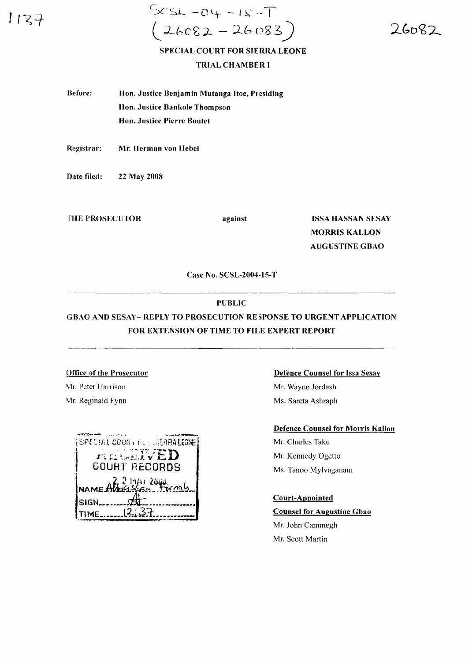$1137$ 

 $SCSL - 04 - 15 - T$  $26082 - 26083$ )

26082

# SPECIAL COURT FOR SIERRA LEONE TRIAL CHAMBER I

Before: Hon. Justice Benjamin Mutanga Hoe, Presiding Hon. Justice Bankole Thompson Hon. Justice Pierre Boutet

Registrar: Mr. Herman von Hebel

Date filed: 22 May 2008

THE PROSECUTOR against

ISSA HASSAN SESAY MORRIS KALLON AUGUSTINE GBAO

Case No. SCSL-2004·I5-T

## PUBLIC

# GBAO AND SESAY- REPLY TO PROSECUTION RE SPONSE TO URGENT APPLICATION FOR EXTENSION OF TIME TO FILE EXPERT REPORT

Office of the Prosecutor Mr. Peter Harrison Mr. Reginald Fynn

| (SPECIAL COOR) POR USSRRALEONE.     |  |
|-------------------------------------|--|
| ngtonivED                           |  |
| COURT RECORDS                       |  |
| NAME AMORSSON TOMOR                 |  |
|                                     |  |
| $SIGN$ <sub>-<math>277</math></sub> |  |
|                                     |  |
|                                     |  |

#### Defence Counsel for Issa Sesay

Mr. Wayne Jordash Ms. Sareta Ashraph

### Defence Counsel for Morris Kallon

Mr. Charles Taku Mr. Kennedy Ogetto Ms. Tanoo Mylvaganam

### Court-Appointed

Counsel for Augustine Gbao Mr. John Cammegh Mr. Scott Martin